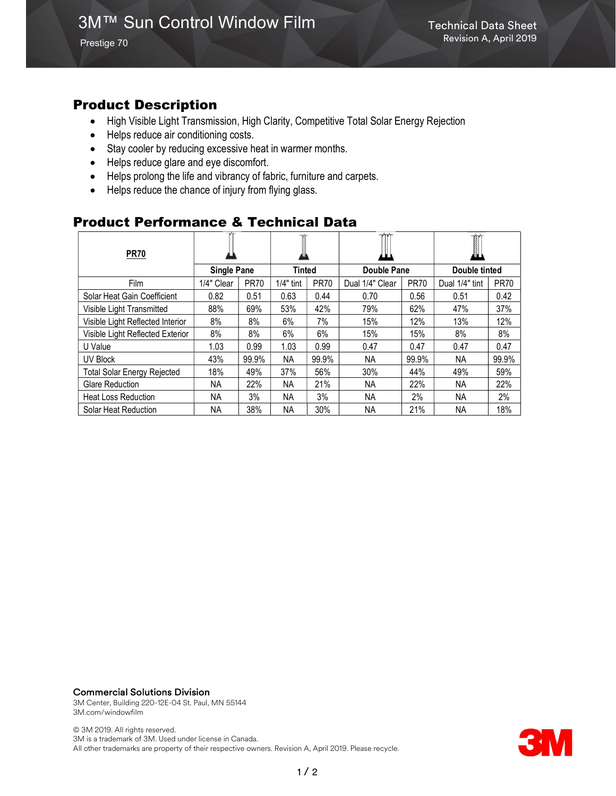Prestige 70

## Product Description

- High Visible Light Transmission, High Clarity, Competitive Total Solar Energy Rejection
- Helps reduce air conditioning costs.
- Stay cooler by reducing excessive heat in warmer months.
- Helps reduce glare and eye discomfort.
- Helps prolong the life and vibrancy of fabric, furniture and carpets.
- Helps reduce the chance of injury from flying glass.

### Product Performance & Technical Data

| <b>PR70</b>                        |                    |             |             |             |                 |             | T<br>øЦ        |             |
|------------------------------------|--------------------|-------------|-------------|-------------|-----------------|-------------|----------------|-------------|
|                                    | <b>Single Pane</b> |             | Tinted      |             | Double Pane     |             | Double tinted  |             |
| <b>Film</b>                        | 1/4" Clear         | <b>PR70</b> | $1/4"$ tint | <b>PR70</b> | Dual 1/4" Clear | <b>PR70</b> | Dual 1/4" tint | <b>PR70</b> |
| Solar Heat Gain Coefficient        | 0.82               | 0.51        | 0.63        | 0.44        | 0.70            | 0.56        | 0.51           | 0.42        |
| Visible Light Transmitted          | 88%                | 69%         | 53%         | 42%         | 79%             | 62%         | 47%            | 37%         |
| Visible Light Reflected Interior   | 8%                 | 8%          | 6%          | 7%          | 15%             | 12%         | 13%            | 12%         |
| Visible Light Reflected Exterior   | 8%                 | 8%          | 6%          | 6%          | 15%             | 15%         | 8%             | 8%          |
| U Value                            | 1.03               | 0.99        | 1.03        | 0.99        | 0.47            | 0.47        | 0.47           | 0.47        |
| UV Block                           | 43%                | 99.9%       | NA.         | 99.9%       | NА              | 99.9%       | NA.            | 99.9%       |
| <b>Total Solar Energy Rejected</b> | 18%                | 49%         | 37%         | 56%         | 30%             | 44%         | 49%            | 59%         |
| <b>Glare Reduction</b>             | NA.                | 22%         | <b>NA</b>   | 21%         | NA.             | 22%         | NA.            | 22%         |
| <b>Heat Loss Reduction</b>         | NA.                | 3%          | NA          | 3%          | <b>NA</b>       | 2%          | NA.            | 2%          |
| Solar Heat Reduction               | NA.                | 38%         | NA          | 30%         | ΝA              | 21%         | NA.            | 18%         |

#### Commercial Solutions Division

3M Center, Building 220-12E-04 St. Paul, MN 55144 3M.com/windowfilm

© 3M 2019. All rights reserved. 3M is a trademark of 3M. Used under license in Canada. All other trademarks are property of their respective owners. Revision A, April 2019. Please recycle.